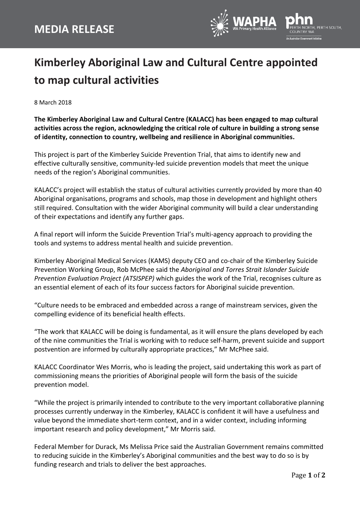

## **Kimberley Aboriginal Law and Cultural Centre appointed to map cultural activities**

8 March 2018

**The Kimberley Aboriginal Law and Cultural Centre (KALACC) has been engaged to map cultural activities across the region, acknowledging the critical role of culture in building a strong sense of identity, connection to country, wellbeing and resilience in Aboriginal communities.**

This project is part of the Kimberley Suicide Prevention Trial, that aims to identify new and effective culturally sensitive, community-led suicide prevention models that meet the unique needs of the region's Aboriginal communities.

KALACC's project will establish the status of cultural activities currently provided by more than 40 Aboriginal organisations, programs and schools, map those in development and highlight others still required. Consultation with the wider Aboriginal community will build a clear understanding of their expectations and identify any further gaps.

A final report will inform the Suicide Prevention Trial's multi-agency approach to providing the tools and systems to address mental health and suicide prevention.

Kimberley Aboriginal Medical Services (KAMS) deputy CEO and co-chair of the Kimberley Suicide Prevention Working Group, Rob McPhee said the *Aboriginal and Torres Strait Islander Suicide Prevention Evaluation Project (ATSISPEP)* which guides the work of the Trial, recognises culture as an essential element of each of its four success factors for Aboriginal suicide prevention.

"Culture needs to be embraced and embedded across a range of mainstream services, given the compelling evidence of its beneficial health effects.

"The work that KALACC will be doing is fundamental, as it will ensure the plans developed by each of the nine communities the Trial is working with to reduce self-harm, prevent suicide and support postvention are informed by culturally appropriate practices," Mr McPhee said.

KALACC Coordinator Wes Morris, who is leading the project, said undertaking this work as part of commissioning means the priorities of Aboriginal people will form the basis of the suicide prevention model.

"While the project is primarily intended to contribute to the very important collaborative planning processes currently underway in the Kimberley, KALACC is confident it will have a usefulness and value beyond the immediate short-term context, and in a wider context, including informing important research and policy development," Mr Morris said.

Federal Member for Durack, Ms Melissa Price said the Australian Government remains committed to reducing suicide in the Kimberley's Aboriginal communities and the best way to do so is by funding research and trials to deliver the best approaches.